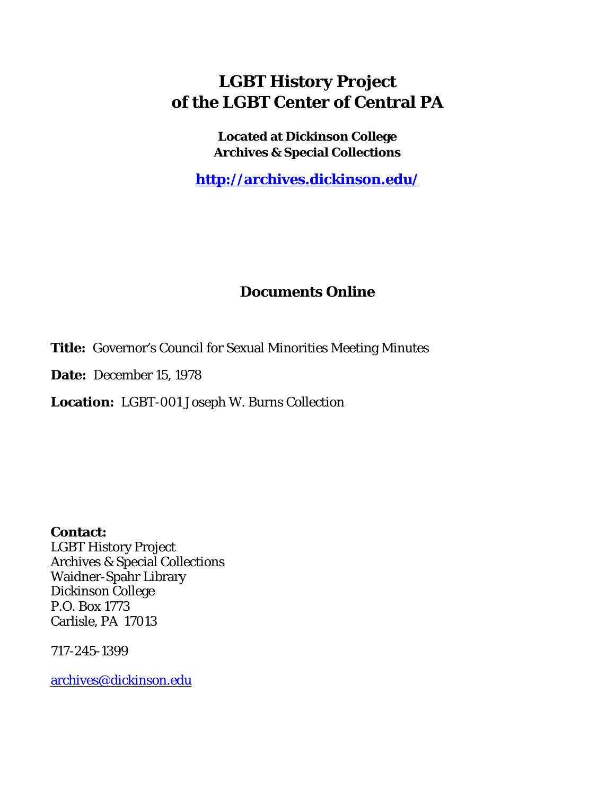## **LGBT History Project of the LGBT Center of Central PA**

**Located at Dickinson College Archives & Special Collections**

**<http://archives.dickinson.edu/>**

## **Documents Online**

**Title:** Governor's Council for Sexual Minorities Meeting Minutes

**Date:** December 15, 1978

**Location:** LGBT-001 Joseph W. Burns Collection

**Contact:**  LGBT History Project Archives & Special Collections Waidner-Spahr Library Dickinson College P.O. Box 1773 Carlisle, PA 17013

717-245-1399

[archives@dickinson.edu](mailto:archives@dickinson.edu)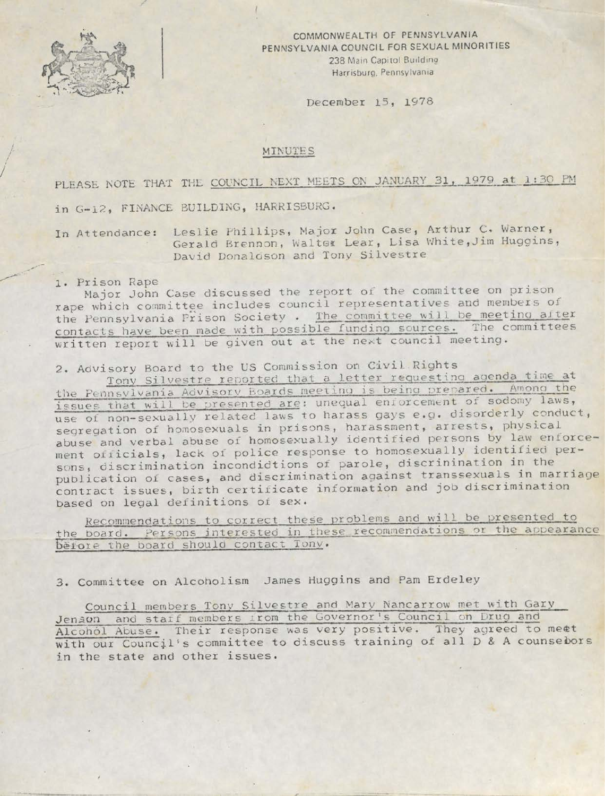

COMMONWEALTH OF PENNSYLVANIA PENNSYLVANIA COUNCIL FOR SEXUAL MINORITIES 238 Main Capitol Building Harrisburg, Pennsylvania

December 15, 1978

## MINUTES

PLEASE NOTE THAT THE COUNCIL NEXT MEETS ON JANUARY 31, 1979 at 1:30 PM in G-12, FINANCE BUILDING, HARRISBURG.

In Attendance: Leslie Phillips, Major John Case, Arthur C. Warner, Gerald Brennon, Walter Lear, Lisa White,Jim Huggins, David Donaldson and Tony Silvestre

## 1. Prison Rape

Major John Case discussed the report of the committee on prison rape which committee includes council representatives and members of the Pennsylvania Prison Society . The committee will be meeting after contacts have been made with possible funding sources. The committees written report will be given out at the next council meeting.

2. Advisory Board to the US Commission on Civil Rights

Tony Silvestre reported that <sup>a</sup> letter requesting agenda time, at the Pennsylvania Advisory Boards meeting is being prepared. Among the issues that will be presented are: unequal enforcement of sodomy laws, use of non-sexually related laws to harass gays e.g. disorderly conduct, segregation of homosexuals in prisons, harassment, arrests, physical abuse and verbal abuse of homosexually identified persons by law enforcement officials, lack of police response to homosexually identified persons, discrimination incondidtions of parole, discrinination in the publication of cases, and discrimination against transsexuals in marriage contract issues, birth certificate information and job discrimination based on legal definitions of sex.

Recommendations to correct these problems and will be presented to the board. Persons interested in these recommendations or the appearance Before the board should contact Tony.

3. Committee on Alcoholism James Huggins and Pam Erdeley

Council members Tony Silvestre and Mary Nancarrow met with Gary Jenson and staff members from the Governor's Council on Drug and Alcohol Abuse. Their response was very positive. They agreed to meet with our Council's committee to discuss training of all D & A counsebors in the state and other issues.